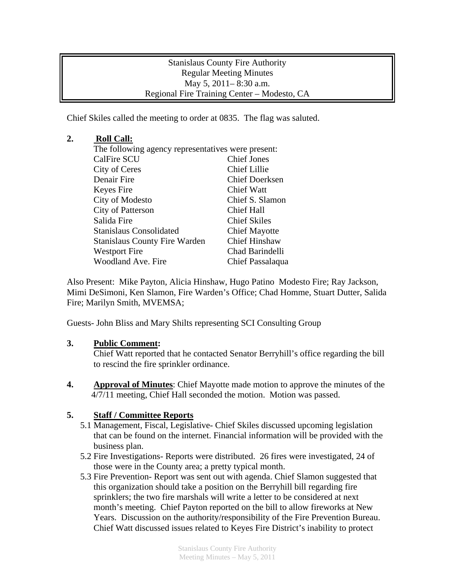Stanislaus County Fire Authority Regular Meeting Minutes May 5, 2011– 8:30 a.m. Regional Fire Training Center – Modesto, CA

Chief Skiles called the meeting to order at 0835. The flag was saluted.

## **2. Roll Call:**

| The following agency representatives were present: |                       |
|----------------------------------------------------|-----------------------|
| <b>CalFire SCU</b>                                 | <b>Chief Jones</b>    |
| City of Ceres                                      | <b>Chief Lillie</b>   |
| Denair Fire                                        | <b>Chief Doerksen</b> |
| Keyes Fire                                         | <b>Chief Watt</b>     |
| City of Modesto                                    | Chief S. Slamon       |
| <b>City of Patterson</b>                           | <b>Chief Hall</b>     |
| Salida Fire                                        | <b>Chief Skiles</b>   |
| <b>Stanislaus Consolidated</b>                     | <b>Chief Mayotte</b>  |
| <b>Stanislaus County Fire Warden</b>               | <b>Chief Hinshaw</b>  |
| <b>Westport Fire</b>                               | Chad Barindelli       |
| <b>Woodland Ave. Fire</b>                          | Chief Passalaqua      |

Also Present: Mike Payton, Alicia Hinshaw, Hugo Patino Modesto Fire; Ray Jackson, Mimi DeSimoni, Ken Slamon, Fire Warden's Office; Chad Homme, Stuart Dutter, Salida Fire; Marilyn Smith, MVEMSA;

Guests- John Bliss and Mary Shilts representing SCI Consulting Group

## **3. Public Comment:**

 Chief Watt reported that he contacted Senator Berryhill's office regarding the bill to rescind the fire sprinkler ordinance.

**4. Approval of Minutes**: Chief Mayotte made motion to approve the minutes of the 4/7/11 meeting, Chief Hall seconded the motion. Motion was passed.

## **5. Staff / Committee Reports**

- 5.1 Management, Fiscal, Legislative- Chief Skiles discussed upcoming legislation that can be found on the internet. Financial information will be provided with the business plan.
- 5.2 Fire Investigations- Reports were distributed. 26 fires were investigated, 24 of those were in the County area; a pretty typical month.
- 5.3 Fire Prevention- Report was sent out with agenda. Chief Slamon suggested that this organization should take a position on the Berryhill bill regarding fire sprinklers; the two fire marshals will write a letter to be considered at next month's meeting. Chief Payton reported on the bill to allow fireworks at New Years. Discussion on the authority/responsibility of the Fire Prevention Bureau. Chief Watt discussed issues related to Keyes Fire District's inability to protect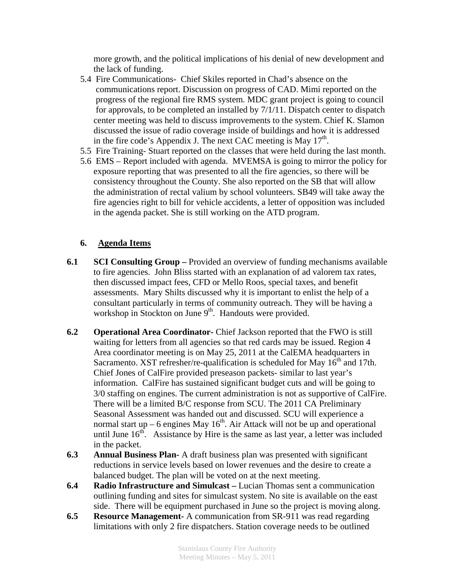more growth, and the political implications of his denial of new development and the lack of funding.

- 5.4 Fire Communications- Chief Skiles reported in Chad's absence on the communications report. Discussion on progress of CAD. Mimi reported on the progress of the regional fire RMS system. MDC grant project is going to council for approvals, to be completed an installed by 7/1/11. Dispatch center to dispatch center meeting was held to discuss improvements to the system. Chief K. Slamon discussed the issue of radio coverage inside of buildings and how it is addressed in the fire code's Appendix J. The next CAC meeting is May  $17<sup>th</sup>$ .
- 5.5 Fire Training- Stuart reported on the classes that were held during the last month.
- 5.6 EMS Report included with agenda. MVEMSA is going to mirror the policy for exposure reporting that was presented to all the fire agencies, so there will be consistency throughout the County. She also reported on the SB that will allow the administration of rectal valium by school volunteers. SB49 will take away the fire agencies right to bill for vehicle accidents, a letter of opposition was included in the agenda packet. She is still working on the ATD program.

## **6. Agenda Items**

- **6.1 SCI Consulting Group** Provided an overview of funding mechanisms available to fire agencies. John Bliss started with an explanation of ad valorem tax rates, then discussed impact fees, CFD or Mello Roos, special taxes, and benefit assessments. Mary Shilts discussed why it is important to enlist the help of a consultant particularly in terms of community outreach. They will be having a workshop in Stockton on June 9<sup>th</sup>. Handouts were provided.
- **6.2 Operational Area Coordinator-** Chief Jackson reported that the FWO is still waiting for letters from all agencies so that red cards may be issued. Region 4 Area coordinator meeting is on May 25, 2011 at the CalEMA headquarters in Sacramento. XST refresher/re-qualification is scheduled for May  $16<sup>th</sup>$  and 17th. Chief Jones of CalFire provided preseason packets- similar to last year's information. CalFire has sustained significant budget cuts and will be going to 3/0 staffing on engines. The current administration is not as supportive of CalFire. There will be a limited B/C response from SCU. The 2011 CA Preliminary Seasonal Assessment was handed out and discussed. SCU will experience a normal start up – 6 engines May  $16^{th}$ . Air Attack will not be up and operational until June  $16<sup>th</sup>$ . Assistance by Hire is the same as last year, a letter was included in the packet.
- **6.3 Annual Business Plan-** A draft business plan was presented with significant reductions in service levels based on lower revenues and the desire to create a balanced budget. The plan will be voted on at the next meeting.
- **6.4 Radio Infrastructure and Simulcast** Lucian Thomas sent a communication outlining funding and sites for simulcast system. No site is available on the east side. There will be equipment purchased in June so the project is moving along.
- **6.5 Resource Management-** A communication from SR-911 was read regarding limitations with only 2 fire dispatchers. Station coverage needs to be outlined